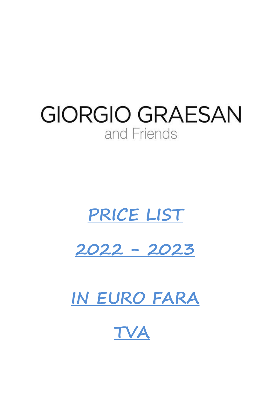# **GIORGIO GRAESAN** and Friends

# **PRICE LIST**

**2022 - 2023**

**IN EURO FARA**

**TVA**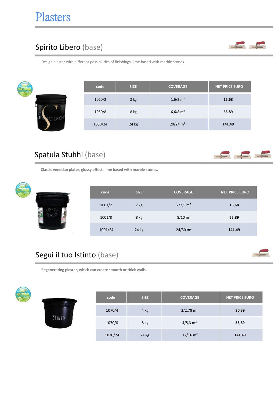#### Spirito Libero (base)



Design plaster with different possibilities of finishings, lime based with marble stones.

| code    | <b>SIZE</b> | <b>COVERAGE</b>        | <b>NET PRICE EURO</b> |
|---------|-------------|------------------------|-----------------------|
| 1060/2  | 2 kg        | $1,6/2$ m <sup>2</sup> | 15,68                 |
| 1060/8  | 8 kg        | $6,6/8$ m <sup>2</sup> | 55,89                 |
| 1060/24 | 24 kg       | $20/24$ m <sup>2</sup> | 141,49                |

#### Spatula Stuhhi (base)



**Classic venetian plater, glossy effect, lime based with marble stones.**

| ници | code    | <b>SIZE</b> | <b>COVERAGE</b>        | <b>NET PRICE EURO</b> |
|------|---------|-------------|------------------------|-----------------------|
|      | 1001/2  | 2 kg        | $2/2,5$ m <sup>2</sup> | 15,68                 |
|      | 1001/8  | 8 kg        | $8/10 \; \text{m}^2$   | 55,89                 |
|      | 1001/24 | 24 kg       | $24/30$ m <sup>2</sup> | 141,49                |

#### Segui il tuo Istinto (base)

**Regenerating plaster, which can create smooth or thick walls.**



۹

| <b>ISTINTO</b> |
|----------------|

| code    | <b>SIZE</b> | <b>COVERAGE</b>         | <b>NET PRICE EURO</b> |
|---------|-------------|-------------------------|-----------------------|
| 1070/4  | 4 kg        | $2/2,78$ m <sup>2</sup> | 30,39                 |
| 1070/8  | 8 kg        | $4/5,3 \text{ m}^2$     | 55,89                 |
| 1070/24 | 24 kg       | $12/16$ m <sup>2</sup>  | 141,49                |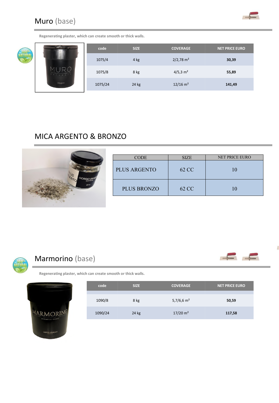Muro (base)



 $\epsilon$ 

**Regenerating plaster, which can create smooth or thick walls.**



| $-10-1$    | code    | <b>SIZE</b> | <b>COVERAGE</b>         | <b>NET PRICE EURO</b> |
|------------|---------|-------------|-------------------------|-----------------------|
|            | 1075/4  | 4 kg        | $2/2,78$ m <sup>2</sup> | 30,39                 |
| TURAL      | 1075/8  | 8 kg        | $4/5,3 \text{ m}^2$     | 55,89                 |
| GORDOSAKAN | 1075/24 | 24 kg       | $12/16$ m <sup>2</sup>  | 141,49                |

#### MICA ARGENTO & BRONZO



| <b>CODE</b>         | <b>SIZE</b> | <b>NET PRICE EURO</b> |
|---------------------|-------------|-----------------------|
| <b>PLUS ARGENTO</b> | 62 CC       |                       |
| <b>PLUS BRONZO</b>  | 62 CC       |                       |



#### Marmorino (base)





| code    | <b>SIZE</b> | <b>COVERAGE</b>     | <b>NET PRICE EURO</b> |
|---------|-------------|---------------------|-----------------------|
| 1090/8  | 8 kg        | 5,7/6,6 $m2$        | 50,59                 |
| 1090/24 | 24 kg       | $17/20 \text{ m}^2$ | 117,58                |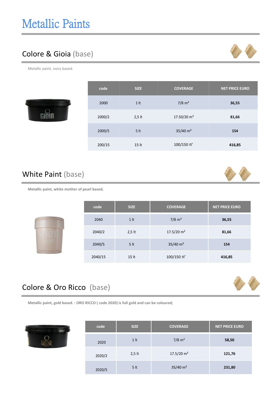### Colore & Gioia (base)



Metallic paint, ivory based.



| code   | <b>SIZE</b>     | <b>COVERAGE</b>          | <b>NET PRICE EURO</b> |
|--------|-----------------|--------------------------|-----------------------|
| 2000   | 1 <sub>lt</sub> | $7/8$ m <sup>2</sup>     | 36,55                 |
| 2000/2 | $2,5$ lt        | 17.50/20 m <sup>2</sup>  | 81,66                 |
| 2000/5 | 5 <sub>lt</sub> | $35/40$ m <sup>2</sup>   | 154                   |
| 200/15 | 15 lt           | $100/150$ m <sup>2</sup> | 416,85                |

#### White Paint (base)



**Metallic paint, white mother of pearl based**.

|                   | code    | <b>SIZE</b>      | <b>COVERAGE</b>          | <b>NET PRICE EURO</b> |
|-------------------|---------|------------------|--------------------------|-----------------------|
|                   | 2040    | 1 <sup>h</sup>   | $7/8$ m <sup>2</sup>     | 36,55                 |
|                   | 2040/2  | $2,5$ lt         | $17.5/20$ m <sup>2</sup> | 81,66                 |
| <b>A REALERTY</b> | 2040/5  | 5 <sub>lt</sub>  | $35/40$ m <sup>2</sup>   | 154                   |
|                   | 2040/15 | 15 <sub>lt</sub> | $100/150$ m <sup>2</sup> | 416,85                |

#### Colore & Oro Ricco (base)





| code   | <b>SIZE</b>     | <b>COVERAGE</b>          | <b>NET PRICE EURO</b> |
|--------|-----------------|--------------------------|-----------------------|
| 2020   | 1 <sup>1</sup>  | $7/8$ m <sup>2</sup>     | 58,50                 |
| 2020/2 | $2,5$ lt        | $17.5/20$ m <sup>2</sup> | 121,76                |
| 2020/5 | 5 <sub>lt</sub> | $35/40$ m <sup>2</sup>   | 231,80                |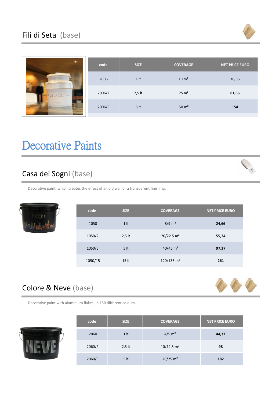

|                          | code   | <b>SIZE</b>     | <b>COVERAGE</b>   | <b>NET PRICE EURO</b> |
|--------------------------|--------|-----------------|-------------------|-----------------------|
| FILLOISETA<br>$\sqrt{2}$ | 2006   | 1 <sup>h</sup>  | 10 m <sup>2</sup> | 36,55                 |
| FILIDISETA               | 2006/2 | $2,5$ lt        | $25 \text{ m}^2$  | 81,66                 |
| <b>Holiga Alphins</b>    | 2006/5 | 5 <sub>lt</sub> | $50 \text{ m}^2$  | 154                   |

## Decorative Paints

#### Casa dei Sogni (base)



Decorative paint, which creates the effect of an old wall or a transparent finishing.

| code    | <b>SIZE</b>      | <b>COVERAGE</b>          | NET PRICE EURO |
|---------|------------------|--------------------------|----------------|
| 1050    | 1 <sup>h</sup>   | $8/9 \text{ m}^2$        | 24,66          |
| 1050/2  | $2,5$ lt         | $20/22.5$ m <sup>2</sup> | 55,34          |
| 1050/5  | 5 <sub>lt</sub>  | $40/45$ m <sup>2</sup>   | 97,27          |
| 1050/15 | 15 <sub>lt</sub> | 120/135 $m2$             | 261            |

#### Colore & Neve (base)



Decorative paint with aluminium flakes, in 150 different colours.



| code   | <b>SIZE</b>     | <b>COVERAGE</b>          | <b>NET PRICE EURO</b> |
|--------|-----------------|--------------------------|-----------------------|
| 2060   | 1 <sup>h</sup>  | $4/5$ m <sup>2</sup>     | 44,33                 |
| 2060/2 | $2,5$ lt        | $10/12.5$ m <sup>2</sup> | 98                    |
| 2060/5 | 5 <sub>lt</sub> | $20/25$ m <sup>2</sup>   | 182                   |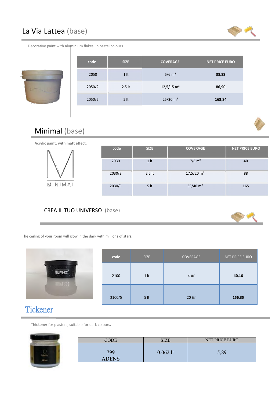#### La Via Lattea (base)



Decorative paint with aluminium flakes, in pastel colours.



| code   | <b>SIZE</b>    | <b>COVERAGE</b>          | <b>NET PRICE EURO</b> |
|--------|----------------|--------------------------|-----------------------|
| 2050   | 1 <sup>h</sup> | $5/6$ m <sup>2</sup>     | 38,88                 |
| 2050/2 | $2,5$ lt       | $12,5/15$ m <sup>2</sup> | 86,90                 |
| 2050/5 | 5 <sup>h</sup> | $25/30$ m <sup>2</sup>   | 163,84                |





#### CREA IL TUO UNIVERSO (base)



The ceiling of your room will glow in the dark with millions of stars.

| <b>UNIVERSO</b><br>$4 \text{ m}^2$<br>2100<br>1 <sup>h</sup><br>40,16<br>UNIVERSO<br>$20 \text{ m}^2$<br>2100/5<br>5 <sub>lt</sub><br>156,35 | code | <b>SIZE</b> | COVERAGE | NET PRICE EURO |
|----------------------------------------------------------------------------------------------------------------------------------------------|------|-------------|----------|----------------|
|                                                                                                                                              |      |             |          |                |
|                                                                                                                                              |      |             |          |                |

#### Tickener

Thickener for plasters, suitable for dark colours**.**

| <b>CODE</b>  | <b>SIZE</b> | NET PRICE EURO |
|--------------|-------------|----------------|
|              |             |                |
| 799          | $0.062$ lt  | 5,89           |
|              |             |                |
| <b>ADENS</b> |             |                |
|              |             |                |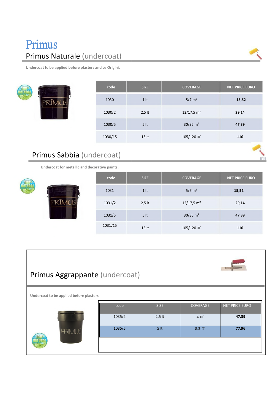## Primus Primus Naturale (undercoat)

**Undercoat to be applied before plasters and Le Origini.**



| code    | <b>SIZE</b>      | <b>COVERAGE</b>          | <b>NET PRICE EURO</b> |  |
|---------|------------------|--------------------------|-----------------------|--|
| 1030    | 1 <sup>h</sup>   | $5/7 \text{ m}^2$        | 15,52                 |  |
| 1030/2  | $2,5$ lt         | $12/17,5$ m <sup>2</sup> | 29,14                 |  |
| 1030/5  | 5 <sup>h</sup>   | $30/35$ m <sup>2</sup>   | 47,39                 |  |
| 1030/15 | 15 <sub>lt</sub> | $105/120 \text{ m}^2$    | 110                   |  |
|         |                  |                          |                       |  |

#### Primus Sabbia (undercoat)

**Undercoat for metallic and decorative paints.**

|               | code    | <b>SIZE</b>      | <b>COVERAGE</b>          | <b>NET PRICE EURO</b> |
|---------------|---------|------------------|--------------------------|-----------------------|
| 100%<br>TURAI | 1031    | 1 <sub>lt</sub>  | $5/7 \text{ m}^2$        | 15,52                 |
|               | 1031/2  | $2,5$ lt         | $12/17,5$ m <sup>2</sup> | 29,14                 |
|               | 1031/5  | 5 <sub>lt</sub>  | $30/35$ m <sup>2</sup>   | 47,39                 |
|               | 1031/15 | 15 <sub>lt</sub> | $105/120$ m <sup>2</sup> | 110                   |

| Primus Aggrappante (undercoat)<br>Undercoat to be applied before plasters |                |                         |                             |                         |
|---------------------------------------------------------------------------|----------------|-------------------------|-----------------------------|-------------------------|
|                                                                           | code<br>1035/2 | <b>SIZE</b><br>$2.5$ lt | COVERAGE<br>$4 \text{ m}^2$ | NET PRICE EURO<br>47,39 |
| PRIMUS                                                                    | 1035/5         | 5 <sup>h</sup>          | $8.3 \text{ m}^2$           | 77,96                   |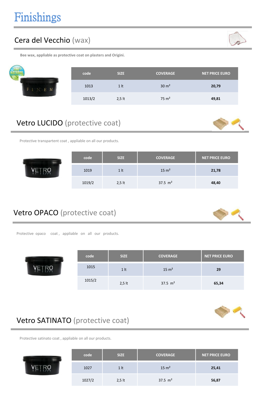#### Cera del Vecchio (wax)

**Bee wax, appliable as protective coat on plasters and Origini.**

| code   | <b>SIZE</b>    | <b>COVERAGE</b>  | <b>NET PRICE EURO</b> |
|--------|----------------|------------------|-----------------------|
| 1013   | 1 <sup>h</sup> | $30 \text{ m}^2$ | 20,79                 |
| 1013/2 | $2,5$ lt       | $75 \text{ m}^2$ | 49,81                 |

#### Vetro LUCIDO (protective coat)

Protective transpartent coat , appliable on all our products.

| code   | <b>SIZE</b>    | <b>COVERAGE</b>  | <b>NET PRICE EURO</b> |
|--------|----------------|------------------|-----------------------|
| 1019   | 1 <sup>h</sup> | $15 \text{ m}^2$ | 21,78                 |
| 1019/2 | $2,5$ lt       | 37.5 $m2$        | 48,40                 |

#### Vetro OPACO (protective coat)

Protective opaco coat, appliable on all our products.

| code   | <b>SIZE</b>    | <b>COVERAGE</b>    | <b>NET PRICE EURO</b> |  |
|--------|----------------|--------------------|-----------------------|--|
| 1015   | 1 <sup>h</sup> | $15 \text{ m}^2$   | 29                    |  |
| 1015/2 | $2,5$ lt       | $37.5 \text{ m}^2$ | 65,34                 |  |



Protective satinato coat , appliable on all our products.



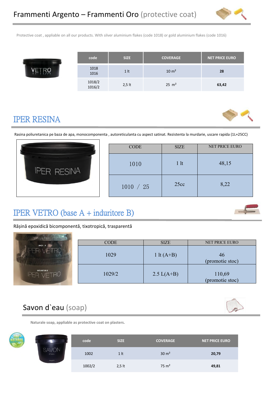1018/2<br>2.5 lt

1016/2



Protective coat , appliable on all our products. With silver aluminium flakes (code 1018) or gold aluminium flakes (code 1016)

| code         | <b>SIZE</b>     | <b>COVERAGE</b>  | NET PRICE EURO |  |
|--------------|-----------------|------------------|----------------|--|
| 1018<br>1016 | 1 <sub>lt</sub> | $10 \text{ m}^2$ | 28             |  |

#### IPER RESINA

Rasina poliuretanica pe baza de apa, monocomponenta , autoreticulanta cu aspect satinat. Rezistenta la murdarie, uscare rapida (1L+25CC)



| <b>CODE</b> | <b>SIZE</b>    | <b>NET PRICE EURO</b> |
|-------------|----------------|-----------------------|
| 1010        | 1 <sup>1</sup> | 48,15                 |
| 1010 / 25   | 25cc           | 8,22                  |

2,5 lt 25 m² **63,42**

#### IPER VETRO (base A + induritore B)

Rășină epoxidică bicomponentă, tixotropică, trasparentă

| <b>A SHAMMAN MARITIME STATE</b><br><b>The Contract of the Contract of the Contract of the Contract of the Contract of the Contract of the Contract of </b> |             |                      |                           |
|------------------------------------------------------------------------------------------------------------------------------------------------------------|-------------|----------------------|---------------------------|
| BAZA A                                                                                                                                                     | <b>CODE</b> | <b>SIZE</b>          | <b>NET PRICE EURO</b>     |
|                                                                                                                                                            | 1029        | 1 lt $(A+B)$         | 46<br>(promotie stoc)     |
| <b>INTARITOR B</b><br>70                                                                                                                                   | 1029/2      | $2.5 \text{ L}(A+B)$ | 110,69<br>(promotie stoc) |

#### Savon d`eau (soap)



**Naturale soap, appliable as protective coat on plasters.**





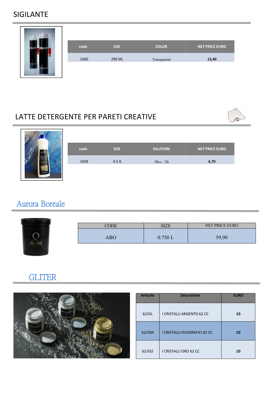#### SIGILANTE

| <b>NAVAL HART</b>   |      |             |              |                       |
|---------------------|------|-------------|--------------|-----------------------|
| SGILLAN<br>SGILLANT | code | <b>SIZE</b> | <b>COLOR</b> | <b>NET PRICE EURO</b> |
|                     | 1040 | 290 ML      | Transparent  | 13,40                 |
|                     |      |             |              |                       |

#### LATTE DETERGENTE PER PARETI CREATIVE





### Aurora Boreale



#### **GLITER**



| <b>Articolo</b> | <b>Descrizione</b>               | <b>EURO</b> |
|-----------------|----------------------------------|-------------|
| 62/GL           | <b>I CRISTALLI ARGENTO 62 CC</b> | 10          |
| 62/GM           | I CRISTALLI OLOGRAFICI 62 CC     | 10          |
| 62/GO           | I CRISTALLI ORO 62 CC            | 10          |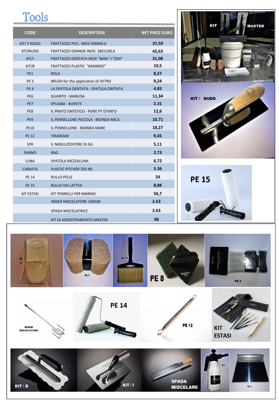# Tools

| <b>CODE</b>       | <b>DESCRIPTION</b>                    | <b>NET PRICE EURO</b> |
|-------------------|---------------------------------------|-----------------------|
| KIT/ P NUDO       | FRATTAZZO PICC. INOX 20X8X0.6         | 37,59                 |
| KIT/NUDO          | FRATTAZZO GRANDE INOX 28X12X0,6       | 42,63                 |
| KIT/I             | FRATTAZZO DENTATA INOX "BAM."+"ZEN"   | 31,08                 |
| KIT/B             | FRATTAZZO PLASTIC "BAMBOO"            | 10,5                  |
| PE1               | <b>ROLA</b>                           | 8,27                  |
| PE <sub>3</sub>   | BRUSH for the application of VETRO    | 9,24                  |
| PE <sub>4</sub>   | LA SPATOLA DENTATA - SPATULA ZIMTATA  | 4.83                  |
| PE <sub>6</sub>   | <b>GUANTO - MANUSA</b>                | 11,34                 |
| PE7               | <b>SPUGNA - BURETE</b>                | 2.31                  |
| PE8               | IL PRATO SINTETICO - PERIE PT ISTINTO | 12,6                  |
| PE9               | IL PENNELLONE PICCOLA - BIDINEA MICA  | 10.71                 |
| <b>PE10</b>       | IL PENNELLONE - BIDINEA MARE          | 18,27                 |
| <b>PE 12</b>      | <b>TIRARIGHE</b>                      | 9,45                  |
| SPR               | IL NEBULIZZATORE DI GG                | 5,11                  |
| <b>PANNO</b>      | <b>RAG</b>                            | 2.73                  |
| <b>LUNA</b>       | SPATOLA MEZZALUNA                     | 6.72                  |
| <b>CARAFFA</b>    | PLASTIC PITCHER 250 ML                | 3.36                  |
| <b>PE 14</b>      | <b>RULLO PELLE</b>                    | 24                    |
| <b>PE 15</b>      | <b>RULLO VIA LATTEA</b>               | 8,88                  |
| <b>KIT ESTASI</b> | KIT PENNELLI PER MARMO                | 56,7                  |
|                   | MIXER MISCELATORE 10X500              | 2.63                  |
|                   | SPADA MISCELATRICE                    | 2.63                  |
|                   | KIT DI ADDESTRAMENTO MASTER           | 98                    |





















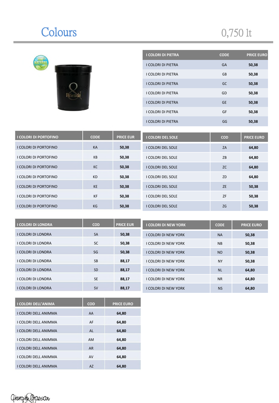# Colours 0,750 lt



| <b>I COLORI DI PIETRA</b> | <b>CODE</b> | <b>PRICE EURO</b> |
|---------------------------|-------------|-------------------|
| <b>I COLORI DI PIETRA</b> | <b>GA</b>   | 50,38             |
| <b>I COLORI DI PIETRA</b> | GB          | 50,38             |
| <b>I COLORI DI PIETRA</b> | GC          | 50,38             |
| I COLORI DI PIETRA        | GD          | 50,38             |
| <b>I COLORI DI PIETRA</b> | <b>GE</b>   | 50,38             |
| I COLORI DI PIETRA        | GF          | 50,38             |
| I COLORI DI PIETRA        | GG          | 50,38             |

| <b>I COLORI DI PORTOFINO</b> | <b>CODE</b> | <b>PRICE EUR</b> | <b>I COLORI DEL SOLE</b> | <b>COD</b> | <b>PRICE EURO</b> |
|------------------------------|-------------|------------------|--------------------------|------------|-------------------|
| I COLORI DI PORTOFINO        | KA          | 50,38            | <b>I COLORI DEL SOLE</b> | ZA         | 64,80             |
| I COLORI DI PORTOFINO        | KB          | 50,38            | <b>I COLORI DEL SOLE</b> | ZB         | 64,80             |
| I COLORI DI PORTOFINO        | KC          | 50,38            | <b>I COLORI DEL SOLE</b> | <b>ZC</b>  | 64,80             |
| I COLORI DI PORTOFINO        | <b>KD</b>   | 50,38            | <b>I COLORI DEL SOLE</b> | ZD         | 64,80             |
| I COLORI DI PORTOFINO        | <b>KE</b>   | 50,38            | <b>I COLORI DEL SOLE</b> | <b>ZE</b>  | 50,38             |
| I COLORI DI PORTOFINO        | <b>KF</b>   | 50,38            | <b>I COLORI DEL SOLE</b> | ZF         | 50,38             |
| I COLORI DI PORTOFINO        | KG          | 50,38            | <b>I COLORI DEL SOLE</b> | <b>ZG</b>  | 50,38             |

| <b>I COLORI DI LONDRA</b> | <b>COD</b> | <b>PRICE EUR</b> | <b>I COLORI DI NEW YORK</b> | <b>CODE</b> | <b>PRICE EURO</b> |
|---------------------------|------------|------------------|-----------------------------|-------------|-------------------|
| I COLORI DI LONDRA        | <b>SA</b>  | 50,38            | <b>I COLORI DI NEW YORK</b> | <b>NA</b>   | 50,38             |
| I COLORI DI LONDRA        | <b>SC</b>  | 50,38            | I COLORI DI NEW YORK        | <b>NB</b>   | 50,38             |
| I COLORI DI LONDRA        | SG         | 50,38            | <b>I COLORI DI NEW YORK</b> | <b>NO</b>   | 50,38             |
| I COLORI DI LONDRA        | <b>SB</b>  | 88,17            | I COLORI DI NEW YORK        | <b>NY</b>   | 50,38             |
| <b>I COLORI DI LONDRA</b> | <b>SD</b>  | 88,17            | <b>I COLORI DI NEW YORK</b> | <b>NL</b>   | 64,80             |
| I COLORI DI LONDRA        | <b>SE</b>  | 88,17            | <b>I COLORI DI NEW YORK</b> | <b>NR</b>   | 64,80             |
| I COLORI DI LONDRA        | <b>SV</b>  | 88,17            | <b>I COLORI DI NEW YORK</b> | <b>NS</b>   | 64,80             |

| <b>I COLORI DELL'ANIMA</b>  | <b>COD</b> | <b>PRICE EURO</b> |
|-----------------------------|------------|-------------------|
| I COLORI DELL ANIMMA        | AA         | 64,80             |
| I COLORI DELL ANIMMA        | AF         | 64,80             |
| I COLORI DELL ANIMMA        | AL         | 64.80             |
| I COLORI DELL ANIMMA        | <b>AM</b>  | 64,80             |
| <b>I COLORI DELL ANIMMA</b> | <b>AR</b>  | 64,80             |
| I COLORI DELL ANIMMA        | AV         | 64,80             |
| I COLORI DELL ANIMMA        | AZ         | 64,80             |